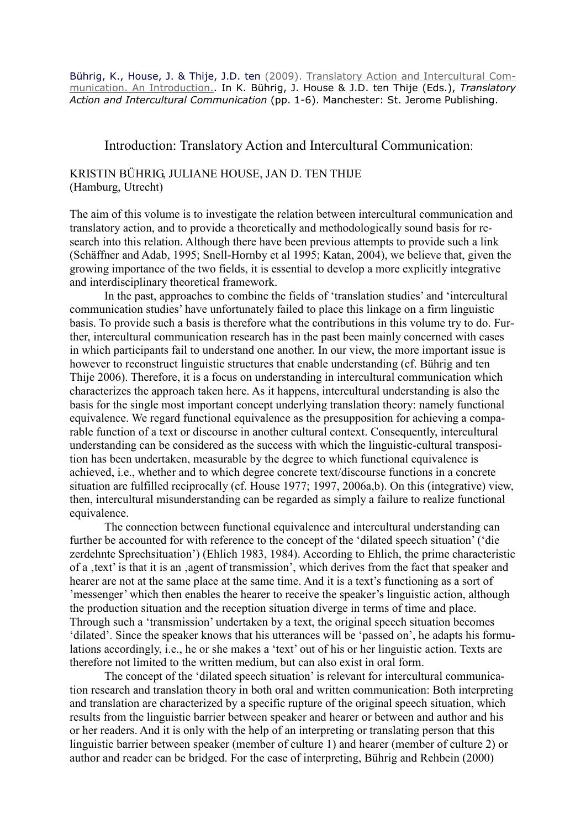Bührig, K., House, J. & Thije, J.D. ten (2009). Translatory Action and Intercultural Communication. An Introduction.. In K. Bührig, J. House & J.D. ten Thije (Eds.), Translatory Action and Intercultural Communication (pp. 1-6). Manchester: St. Jerome Publishing.

## Introduction: Translatory Action and Intercultural Communication:

## KRISTIN BÜHRIG, JULIANE HOUSE, JAN D. TEN THIJE (Hamburg, Utrecht)

The aim of this volume is to investigate the relation between intercultural communication and translatory action, and to provide a theoretically and methodologically sound basis for research into this relation. Although there have been previous attempts to provide such a link (Schäffner and Adab, 1995; Snell-Hornby et al 1995; Katan, 2004), we believe that, given the growing importance of the two fields, it is essential to develop a more explicitly integrative and interdisciplinary theoretical framework.

 In the past, approaches to combine the fields of 'translation studies' and 'intercultural communication studies' have unfortunately failed to place this linkage on a firm linguistic basis. To provide such a basis is therefore what the contributions in this volume try to do. Further, intercultural communication research has in the past been mainly concerned with cases in which participants fail to understand one another. In our view, the more important issue is however to reconstruct linguistic structures that enable understanding (cf. Bührig and ten Thije 2006). Therefore, it is a focus on understanding in intercultural communication which characterizes the approach taken here. As it happens, intercultural understanding is also the basis for the single most important concept underlying translation theory: namely functional equivalence. We regard functional equivalence as the presupposition for achieving a comparable function of a text or discourse in another cultural context. Consequently, intercultural understanding can be considered as the success with which the linguistic-cultural transposition has been undertaken, measurable by the degree to which functional equivalence is achieved, i.e., whether and to which degree concrete text/discourse functions in a concrete situation are fulfilled reciprocally (cf. House 1977; 1997, 2006a,b). On this (integrative) view, then, intercultural misunderstanding can be regarded as simply a failure to realize functional equivalence.

 The connection between functional equivalence and intercultural understanding can further be accounted for with reference to the concept of the 'dilated speech situation' ('die zerdehnte Sprechsituation') (Ehlich 1983, 1984). According to Ehlich, the prime characteristic of a , text' is that it is an , agent of transmission', which derives from the fact that speaker and hearer are not at the same place at the same time. And it is a text's functioning as a sort of 'messenger' which then enables the hearer to receive the speaker's linguistic action, although the production situation and the reception situation diverge in terms of time and place. Through such a 'transmission' undertaken by a text, the original speech situation becomes 'dilated'. Since the speaker knows that his utterances will be 'passed on', he adapts his formulations accordingly, i.e., he or she makes a 'text' out of his or her linguistic action. Texts are therefore not limited to the written medium, but can also exist in oral form.

 The concept of the 'dilated speech situation' is relevant for intercultural communication research and translation theory in both oral and written communication: Both interpreting and translation are characterized by a specific rupture of the original speech situation, which results from the linguistic barrier between speaker and hearer or between and author and his or her readers. And it is only with the help of an interpreting or translating person that this linguistic barrier between speaker (member of culture 1) and hearer (member of culture 2) or author and reader can be bridged. For the case of interpreting, Bührig and Rehbein (2000)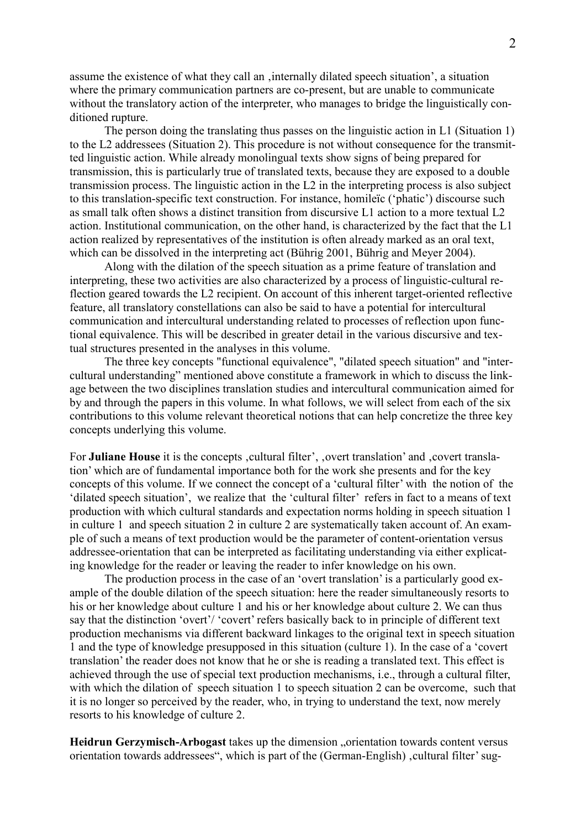assume the existence of what they call an , internally dilated speech situation', a situation where the primary communication partners are co-present, but are unable to communicate without the translatory action of the interpreter, who manages to bridge the linguistically conditioned rupture.

 The person doing the translating thus passes on the linguistic action in L1 (Situation 1) to the L2 addressees (Situation 2). This procedure is not without consequence for the transmitted linguistic action. While already monolingual texts show signs of being prepared for transmission, this is particularly true of translated texts, because they are exposed to a double transmission process. The linguistic action in the L2 in the interpreting process is also subject to this translation-specific text construction. For instance, homileïc ('phatic') discourse such as small talk often shows a distinct transition from discursive L1 action to a more textual L2 action. Institutional communication, on the other hand, is characterized by the fact that the L1 action realized by representatives of the institution is often already marked as an oral text, which can be dissolved in the interpreting act (Bührig 2001, Bührig and Meyer 2004).

 Along with the dilation of the speech situation as a prime feature of translation and interpreting, these two activities are also characterized by a process of linguistic-cultural reflection geared towards the L2 recipient. On account of this inherent target-oriented reflective feature, all translatory constellations can also be said to have a potential for intercultural communication and intercultural understanding related to processes of reflection upon functional equivalence. This will be described in greater detail in the various discursive and textual structures presented in the analyses in this volume.

 The three key concepts "functional equivalence", "dilated speech situation" and "intercultural understanding" mentioned above constitute a framework in which to discuss the linkage between the two disciplines translation studies and intercultural communication aimed for by and through the papers in this volume. In what follows, we will select from each of the six contributions to this volume relevant theoretical notions that can help concretize the three key concepts underlying this volume.

For Juliane House it is the concepts , cultural filter', , overt translation' and , covert translation' which are of fundamental importance both for the work she presents and for the key concepts of this volume. If we connect the concept of a 'cultural filter' with the notion of the 'dilated speech situation', we realize that the 'cultural filter' refers in fact to a means of text production with which cultural standards and expectation norms holding in speech situation 1 in culture 1 and speech situation 2 in culture 2 are systematically taken account of. An example of such a means of text production would be the parameter of content-orientation versus addressee-orientation that can be interpreted as facilitating understanding via either explicating knowledge for the reader or leaving the reader to infer knowledge on his own.

 The production process in the case of an 'overt translation' is a particularly good example of the double dilation of the speech situation: here the reader simultaneously resorts to his or her knowledge about culture 1 and his or her knowledge about culture 2. We can thus say that the distinction 'overt'/ 'covert' refers basically back to in principle of different text production mechanisms via different backward linkages to the original text in speech situation 1 and the type of knowledge presupposed in this situation (culture 1). In the case of a 'covert translation' the reader does not know that he or she is reading a translated text. This effect is achieved through the use of special text production mechanisms, i.e., through a cultural filter, with which the dilation of speech situation 1 to speech situation 2 can be overcome, such that it is no longer so perceived by the reader, who, in trying to understand the text, now merely resorts to his knowledge of culture 2.

Heidrun Gerzymisch-Arbogast takes up the dimension "orientation towards content versus orientation towards addressees", which is part of the (German-English), cultural filter' sug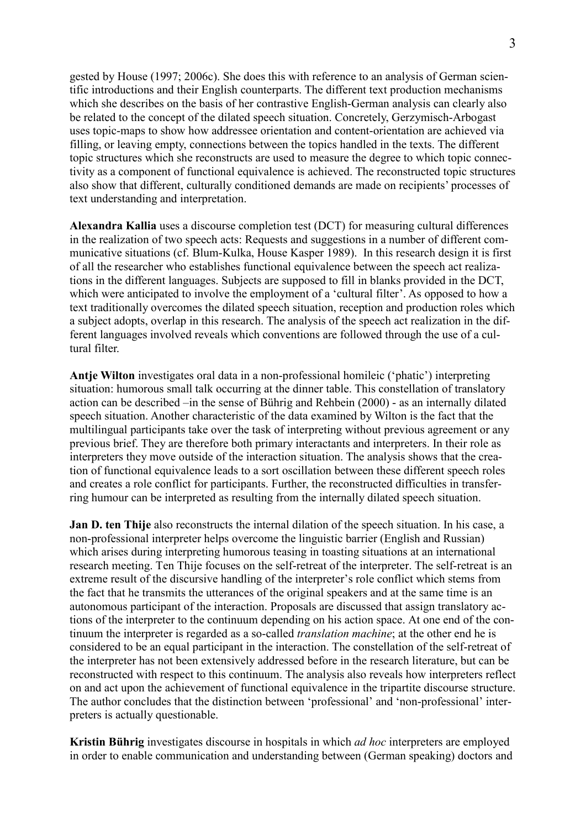gested by House (1997; 2006c). She does this with reference to an analysis of German scientific introductions and their English counterparts. The different text production mechanisms which she describes on the basis of her contrastive English-German analysis can clearly also be related to the concept of the dilated speech situation. Concretely, Gerzymisch-Arbogast uses topic-maps to show how addressee orientation and content-orientation are achieved via filling, or leaving empty, connections between the topics handled in the texts. The different topic structures which she reconstructs are used to measure the degree to which topic connectivity as a component of functional equivalence is achieved. The reconstructed topic structures also show that different, culturally conditioned demands are made on recipients' processes of text understanding and interpretation.

Alexandra Kallia uses a discourse completion test (DCT) for measuring cultural differences in the realization of two speech acts: Requests and suggestions in a number of different communicative situations (cf. Blum-Kulka, House Kasper 1989). In this research design it is first of all the researcher who establishes functional equivalence between the speech act realizations in the different languages. Subjects are supposed to fill in blanks provided in the DCT, which were anticipated to involve the employment of a 'cultural filter'. As opposed to how a text traditionally overcomes the dilated speech situation, reception and production roles which a subject adopts, overlap in this research. The analysis of the speech act realization in the different languages involved reveals which conventions are followed through the use of a cultural filter.

Antje Wilton investigates oral data in a non-professional homileic ('phatic') interpreting situation: humorous small talk occurring at the dinner table. This constellation of translatory action can be described –in the sense of Bührig and Rehbein (2000) - as an internally dilated speech situation. Another characteristic of the data examined by Wilton is the fact that the multilingual participants take over the task of interpreting without previous agreement or any previous brief. They are therefore both primary interactants and interpreters. In their role as interpreters they move outside of the interaction situation. The analysis shows that the creation of functional equivalence leads to a sort oscillation between these different speech roles and creates a role conflict for participants. Further, the reconstructed difficulties in transferring humour can be interpreted as resulting from the internally dilated speech situation.

Jan D. ten Thije also reconstructs the internal dilation of the speech situation. In his case, a non-professional interpreter helps overcome the linguistic barrier (English and Russian) which arises during interpreting humorous teasing in toasting situations at an international research meeting. Ten Thije focuses on the self-retreat of the interpreter. The self-retreat is an extreme result of the discursive handling of the interpreter's role conflict which stems from the fact that he transmits the utterances of the original speakers and at the same time is an autonomous participant of the interaction. Proposals are discussed that assign translatory actions of the interpreter to the continuum depending on his action space. At one end of the continuum the interpreter is regarded as a so-called translation machine; at the other end he is considered to be an equal participant in the interaction. The constellation of the self-retreat of the interpreter has not been extensively addressed before in the research literature, but can be reconstructed with respect to this continuum. The analysis also reveals how interpreters reflect on and act upon the achievement of functional equivalence in the tripartite discourse structure. The author concludes that the distinction between 'professional' and 'non-professional' interpreters is actually questionable.

Kristin Bührig investigates discourse in hospitals in which *ad hoc* interpreters are employed in order to enable communication and understanding between (German speaking) doctors and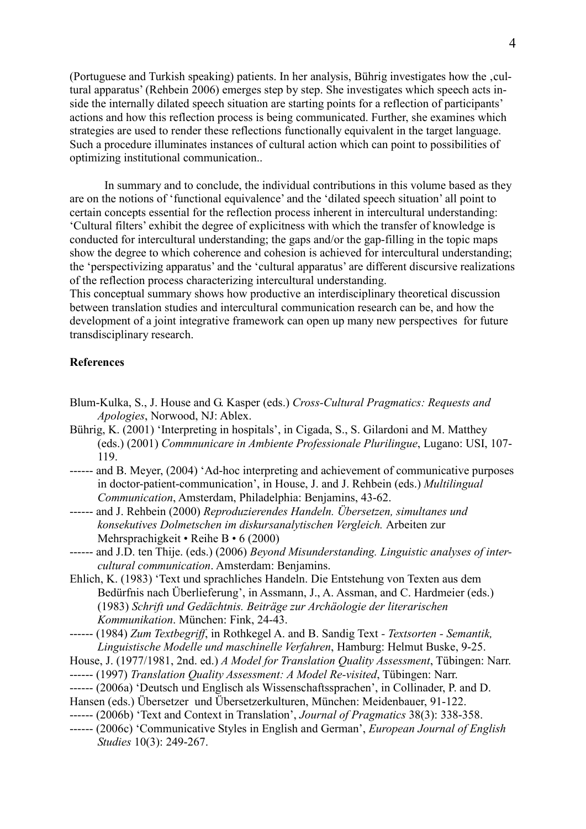(Portuguese and Turkish speaking) patients. In her analysis, Bührig investigates how the ,cultural apparatus' (Rehbein 2006) emerges step by step. She investigates which speech acts inside the internally dilated speech situation are starting points for a reflection of participants' actions and how this reflection process is being communicated. Further, she examines which strategies are used to render these reflections functionally equivalent in the target language. Such a procedure illuminates instances of cultural action which can point to possibilities of optimizing institutional communication..

 In summary and to conclude, the individual contributions in this volume based as they are on the notions of 'functional equivalence' and the 'dilated speech situation' all point to certain concepts essential for the reflection process inherent in intercultural understanding: 'Cultural filters' exhibit the degree of explicitness with which the transfer of knowledge is conducted for intercultural understanding; the gaps and/or the gap-filling in the topic maps show the degree to which coherence and cohesion is achieved for intercultural understanding; the 'perspectivizing apparatus' and the 'cultural apparatus' are different discursive realizations of the reflection process characterizing intercultural understanding.

This conceptual summary shows how productive an interdisciplinary theoretical discussion between translation studies and intercultural communication research can be, and how the development of a joint integrative framework can open up many new perspectives for future transdisciplinary research.

## **References**

- Blum-Kulka, S., J. House and G. Kasper (eds.) Cross-Cultural Pragmatics: Requests and Apologies, Norwood, NJ: Ablex.
- Bührig, K. (2001) 'Interpreting in hospitals', in Cigada, S., S. Gilardoni and M. Matthey (eds.) (2001) Commnunicare in Ambiente Professionale Plurilingue, Lugano: USI, 107- 119.
- ------ and B. Meyer, (2004) 'Ad-hoc interpreting and achievement of communicative purposes in doctor-patient-communication', in House, J. and J. Rehbein (eds.) Multilingual Communication, Amsterdam, Philadelphia: Benjamins, 43-62.
- ------ and J. Rehbein (2000) Reproduzierendes Handeln. Übersetzen, simultanes und konsekutives Dolmetschen im diskursanalytischen Vergleich. Arbeiten zur Mehrsprachigkeit • Reihe B • 6 (2000)
- ------ and J.D. ten Thije. (eds.) (2006) Beyond Misunderstanding. Linguistic analyses of intercultural communication. Amsterdam: Benjamins.
- Ehlich, K. (1983) 'Text und sprachliches Handeln. Die Entstehung von Texten aus dem Bedürfnis nach Überlieferung', in Assmann, J., A. Assman, and C. Hardmeier (eds.) (1983) Schrift und Gedächtnis. Beiträge zur Archäologie der literarischen Kommunikation. München: Fink, 24-43.
- ------ (1984) Zum Textbegriff, in Rothkegel A. and B. Sandig Text Textsorten Semantik, Linguistische Modelle und maschinelle Verfahren, Hamburg: Helmut Buske, 9-25.
- House, J. (1977/1981, 2nd. ed.) A Model for Translation Quality Assessment, Tübingen: Narr.
- ------ (1997) Translation Quality Assessment: A Model Re-visited, Tübingen: Narr.
- ------ (2006a) 'Deutsch und Englisch als Wissenschaftssprachen', in Collinader, P. and D.
- Hansen (eds.) Übersetzer und Übersetzerkulturen, München: Meidenbauer, 91-122.
- ------ (2006b) 'Text and Context in Translation', Journal of Pragmatics 38(3): 338-358.
- ------ (2006c) 'Communicative Styles in English and German', European Journal of English Studies 10(3): 249-267.